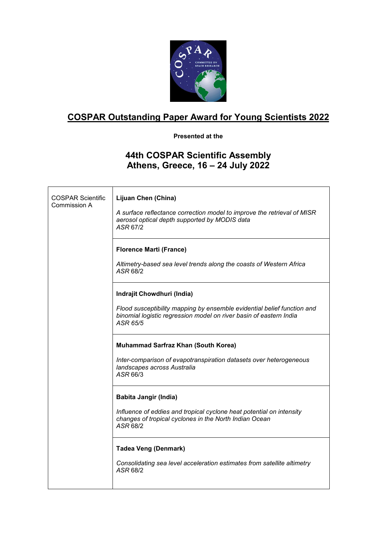

## **COSPAR Outstanding Paper Award for Young Scientists 2022**

**Presented at the**

## **44th COSPAR Scientific Assembly Athens, Greece, 16 – 24 July 2022**

| <b>COSPAR Scientific</b><br>Commission A | Lijuan Chen (China)<br>A surface reflectance correction model to improve the retrieval of MISR<br>aerosol optical depth supported by MODIS data<br>ASR 67/2                             |
|------------------------------------------|-----------------------------------------------------------------------------------------------------------------------------------------------------------------------------------------|
|                                          | <b>Florence Marti (France)</b><br>Altimetry-based sea level trends along the coasts of Western Africa<br>ASR 68/2                                                                       |
|                                          | Indrajit Chowdhuri (India)<br>Flood susceptibility mapping by ensemble evidential belief function and<br>binomial logistic regression model on river basin of eastern India<br>ASR 65/5 |
|                                          | <b>Muhammad Sarfraz Khan (South Korea)</b><br>Inter-comparison of evapotranspiration datasets over heterogeneous<br>landscapes across Australia<br>ASR 66/3                             |
|                                          | <b>Babita Jangir (India)</b><br>Influence of eddies and tropical cyclone heat potential on intensity<br>changes of tropical cyclones in the North Indian Ocean<br>ASR 68/2              |
|                                          | <b>Tadea Veng (Denmark)</b><br>Consolidating sea level acceleration estimates from satellite altimetry<br>ASR 68/2                                                                      |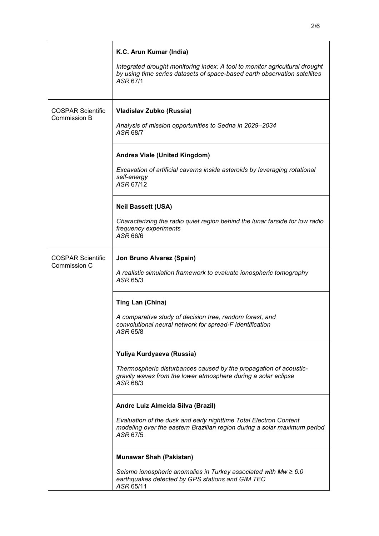|                                                 | K.C. Arun Kumar (India)<br>Integrated drought monitoring index: A tool to monitor agricultural drought<br>by using time series datasets of space-based earth observation satellites<br>ASR 67/1 |
|-------------------------------------------------|-------------------------------------------------------------------------------------------------------------------------------------------------------------------------------------------------|
| <b>COSPAR Scientific</b><br><b>Commission B</b> | Vladislav Zubko (Russia)<br>Analysis of mission opportunities to Sedna in 2029-2034<br>ASR 68/7                                                                                                 |
|                                                 | Andrea Viale (United Kingdom)<br>Excavation of artificial caverns inside asteroids by leveraging rotational<br>self-energy<br>ASR 67/12                                                         |
|                                                 | <b>Neil Bassett (USA)</b><br>Characterizing the radio quiet region behind the lunar farside for low radio<br>frequency experiments<br>ASR 66/6                                                  |
| <b>COSPAR Scientific</b><br>Commission C        | Jon Bruno Alvarez (Spain)<br>A realistic simulation framework to evaluate ionospheric tomography<br>ASR 65/3                                                                                    |
|                                                 | Ting Lan (China)<br>A comparative study of decision tree, random forest, and<br>convolutional neural network for spread-F identification<br>ASR 65/8                                            |
|                                                 | Yuliya Kurdyaeva (Russia)<br>Thermospheric disturbances caused by the propagation of acoustic-<br>gravity waves from the lower atmosphere during a solar eclipse<br>ASR 68/3                    |
|                                                 | Andre Luiz Almeida Silva (Brazil)<br>Evaluation of the dusk and early nighttime Total Electron Content<br>modeling over the eastern Brazilian region during a solar maximum period<br>ASR 67/5  |
|                                                 | <b>Munawar Shah (Pakistan)</b><br>Seismo ionospheric anomalies in Turkey associated with $Mw \geq 6.0$<br>earthquakes detected by GPS stations and GIM TEC<br>ASR 65/11                         |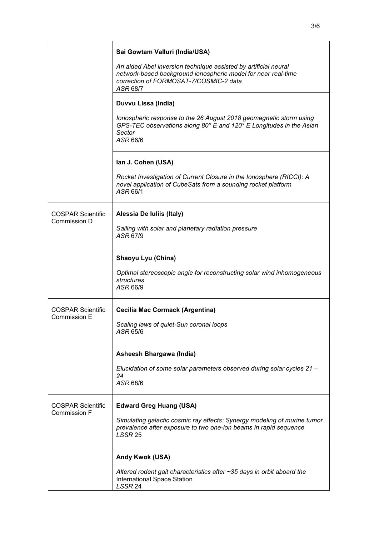|                                                 | Sai Gowtam Valluri (India/USA)                                                                                                                                                         |
|-------------------------------------------------|----------------------------------------------------------------------------------------------------------------------------------------------------------------------------------------|
|                                                 | An aided Abel inversion technique assisted by artificial neural<br>network-based background ionospheric model for near real-time<br>correction of FORMOSAT-7/COSMIC-2 data<br>ASR 68/7 |
|                                                 | Duvvu Lissa (India)                                                                                                                                                                    |
|                                                 | Ionospheric response to the 26 August 2018 geomagnetic storm using<br>GPS-TEC observations along 80° E and 120° E Longitudes in the Asian<br>Sector<br>ASR 66/6                        |
|                                                 | Ian J. Cohen (USA)                                                                                                                                                                     |
|                                                 | Rocket Investigation of Current Closure in the Ionosphere (RICCI): A<br>novel application of CubeSats from a sounding rocket platform<br>ASR 66/1                                      |
| <b>COSPAR Scientific</b>                        | Alessia De Iuliis (Italy)                                                                                                                                                              |
| Commission D                                    | Sailing with solar and planetary radiation pressure<br>ASR 67/9                                                                                                                        |
|                                                 | Shaoyu Lyu (China)                                                                                                                                                                     |
|                                                 | Optimal stereoscopic angle for reconstructing solar wind inhomogeneous<br>structures<br>ASR 66/9                                                                                       |
| <b>COSPAR Scientific</b>                        | <b>Cecilia Mac Cormack (Argentina)</b>                                                                                                                                                 |
| Commission E                                    | Scaling laws of quiet-Sun coronal loops<br>ASR 65/6                                                                                                                                    |
|                                                 | Asheesh Bhargawa (India)                                                                                                                                                               |
|                                                 | Elucidation of some solar parameters observed during solar cycles 21 -<br>24<br>ASR 68/6                                                                                               |
| <b>COSPAR Scientific</b><br><b>Commission F</b> | <b>Edward Greg Huang (USA)</b>                                                                                                                                                         |
|                                                 | Simulating galactic cosmic ray effects: Synergy modeling of murine tumor<br>prevalence after exposure to two one-ion beams in rapid sequence<br>LSSR <sub>25</sub>                     |
|                                                 | Andy Kwok (USA)                                                                                                                                                                        |
|                                                 | Altered rodent gait characteristics after ~35 days in orbit aboard the<br>International Space Station<br>LSSR 24                                                                       |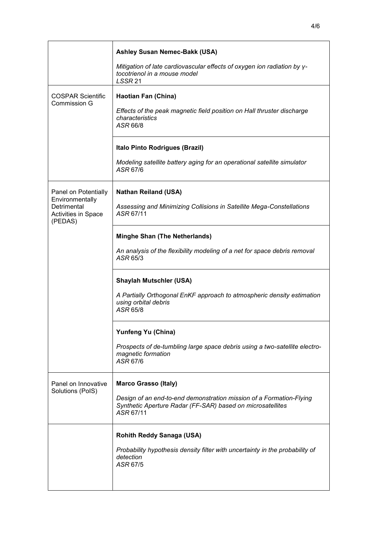| <b>Ashley Susan Nemec-Bakk (USA)</b>                                                                                          |  |  |
|-------------------------------------------------------------------------------------------------------------------------------|--|--|
| Mitigation of late cardiovascular effects of oxygen ion radiation by y-<br>tocotrienol in a mouse model<br>LSSR <sub>21</sub> |  |  |
| <b>Haotian Fan (China)</b>                                                                                                    |  |  |
| Effects of the peak magnetic field position on Hall thruster discharge<br>characteristics<br>ASR 66/8                         |  |  |
| Italo Pinto Rodrigues (Brazil)                                                                                                |  |  |
| Modeling satellite battery aging for an operational satellite simulator<br>ASR 67/6                                           |  |  |
| <b>Nathan Reiland (USA)</b>                                                                                                   |  |  |
| Assessing and Minimizing Collisions in Satellite Mega-Constellations<br>ASR 67/11                                             |  |  |
| <b>Minghe Shan (The Netherlands)</b>                                                                                          |  |  |
| An analysis of the flexibility modeling of a net for space debris removal<br>ASR 65/3                                         |  |  |
| <b>Shaylah Mutschler (USA)</b>                                                                                                |  |  |
| A Partially Orthogonal EnKF approach to atmospheric density estimation<br>using orbital debris<br>ASR 65/8                    |  |  |
| Yunfeng Yu (China)                                                                                                            |  |  |
| Prospects of de-tumbling large space debris using a two-satellite electro-<br>magnetic formation<br>ASR 67/6                  |  |  |

|                                         | <b>Shaylah Mutschler (USA)</b>                                                                                                                                                |
|-----------------------------------------|-------------------------------------------------------------------------------------------------------------------------------------------------------------------------------|
|                                         | A Partially Orthogonal EnKF approach to atmospheric density estimation<br>using orbital debris<br>ASR 65/8                                                                    |
|                                         | <b>Yunfeng Yu (China)</b>                                                                                                                                                     |
|                                         | Prospects of de-tumbling large space debris using a two-satellite electri<br>magnetic formation<br>ASR 67/6                                                                   |
| Panel on Innovative<br>Solutions (PoIS) | <b>Marco Grasso (Italy)</b><br>Design of an end-to-end demonstration mission of a Formation-Flying<br>Synthetic Aperture Radar (FF-SAR) based on microsatellites<br>ASR 67/11 |
|                                         | <b>Rohith Reddy Sanaga (USA)</b><br>Probability hypothesis density filter with uncertainty in the probability of<br>detection<br>ASR 67/5                                     |

COSPAR Scientific Commission G

Panel on Potentially **Environmentally** Detrimental

Activities in Space

(PEDAS)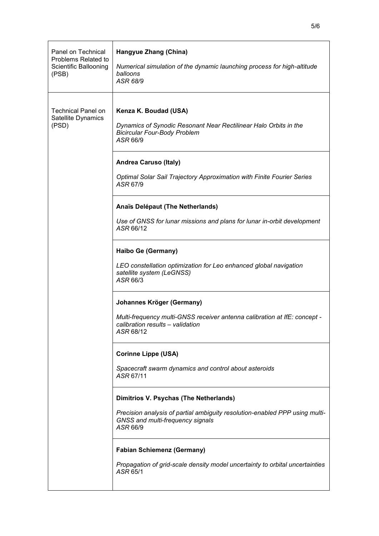| Panel on Technical<br>Problems Related to<br>Scientific Ballooning<br>(PSB) | Hangyue Zhang (China)<br>Numerical simulation of the dynamic launching process for high-altitude<br>balloons<br>ASR 68/9                                              |
|-----------------------------------------------------------------------------|-----------------------------------------------------------------------------------------------------------------------------------------------------------------------|
| <b>Technical Panel on</b><br>Satellite Dynamics<br>(PSD)                    | Kenza K. Boudad (USA)<br>Dynamics of Synodic Resonant Near Rectilinear Halo Orbits in the<br><b>Bicircular Four-Body Problem</b><br>ASR 66/9                          |
|                                                                             | <b>Andrea Caruso (Italy)</b><br>Optimal Solar Sail Trajectory Approximation with Finite Fourier Series<br>ASR 67/9                                                    |
|                                                                             | Anaïs Delépaut (The Netherlands)<br>Use of GNSS for lunar missions and plans for lunar in-orbit development<br>ASR 66/12                                              |
|                                                                             | Haibo Ge (Germany)<br>LEO constellation optimization for Leo enhanced global navigation<br>satellite system (LeGNSS)<br>ASR 66/3                                      |
|                                                                             | Johannes Kröger (Germany)<br>Multi-frequency multi-GNSS receiver antenna calibration at IfE: concept -<br>calibration results - validation<br>ASR 68/12               |
|                                                                             | <b>Corinne Lippe (USA)</b><br>Spacecraft swarm dynamics and control about asteroids<br>ASR 67/11                                                                      |
|                                                                             | Dimitrios V. Psychas (The Netherlands)<br>Precision analysis of partial ambiguity resolution-enabled PPP using multi-<br>GNSS and multi-frequency signals<br>ASR 66/9 |
|                                                                             | <b>Fabian Schiemenz (Germany)</b><br>Propagation of grid-scale density model uncertainty to orbital uncertainties<br>ASR 65/1                                         |